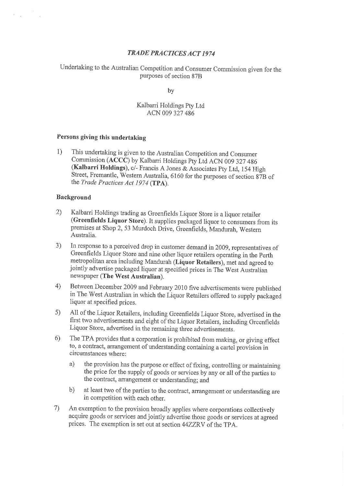# TRAÐE PRACTICES ACT 1974

Undertaking to the Australian Competition and Consumer Commission given for the purposes of section 87B

by

## Kalbarri Holdings Pty Ltd ACN 009 327 486

# Persons giving this undertaking

1) This undertaking is given to the Australian competition and consumer comrnission (ACCC) by Kalbarri Holdings pty Ltd ACN 009 327 4g6 (Kalbarri Holdings), c/- Francis A Jones & Associates pty Ltd, 154 High Street, Fremantle, western Australia, 6160 for the purposes of section g7B of the *Trade Practices Act 1974* (TPA).

#### Background

 $\mathbb{R}^n$  .  $\mathbb{R}^n$  .

- Kalbarri Holdings trading as Greenfields Liquor Store is a liquor retailer (Greenfields Liquor Store). It supplies packaged liquor to consumers from its premises at shop 2, 53 Murdoch Drive, Greenfields, Mandurah, western Australia. 2)
- In response to a perceived drop in customer demand in 2009, representatives of Greenfields Liquor Store and nine other liquor retailers operating in the Perth metropolitan area including Mandurah (Liquor Retailers), met and agreed to jointly advertise packaged liquor at specified prices in The West Australian newspaper (The West Australian), 3)
- Between December 2009 and February 2010 five advertisements were published in The West Australian in which the Liquor Retailers offered to supply packaged liquor at specified prices. 4)
- All of the Liquor Retailers, including Greenfields Liquor Store, advertised in the first two advertisements and eight of the Liquor Retailers, including Greenfields Liquor Store, advertised in the remaining three advertisements. s)
- The TPA provides that a corporation is prohibited from making, or giving effect to, a contract, arrangement of understanding containing a cartel provision in circumstances where: 6)
	- a) the provision has the purpose or effect of fixing, controlling or maintaining the price for the supply of goods or services by any or all of the parties to the contract, arrangement or understanding; and
	- b) at least two of the parties to the contract, arrangement or understanding are in competition with each other.
- An exemption to the provision broadly applies where corporations collectively acquire goods or services andjointly advertise those goods or services at agreed prices. The exemption is set out at section 44ZZRV of the TpA. 7)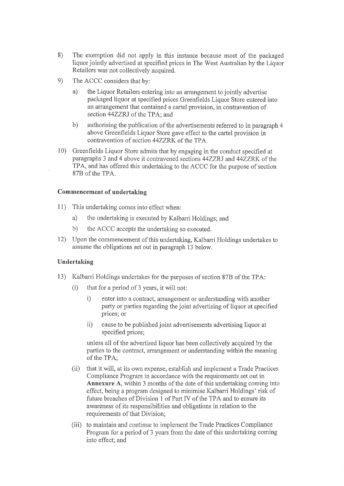- 8) The exemption did not apply in this instance because most of the packaged liquor jointly advertised at specified prices in The West Australian by the Liquor Retailers was not collectively acquired.
- e) The ACCC considers that by:
	- a) the Liquor Retailers entering into an arrangement to jointly advertise packaged liquor at specified prices Greenfields Líquor Store entered into an arrangement that contained a cartel provision, in contravention of section 44ZZRJ of the TPA; and
	- b) authorising the publication of the advertisements referred to in paragraph 4 above Greenfields Liquor Store gave effect to the cartel provision in contravention of section 44ZZRK of the TPA.
- Greenfields Liquor Store admits that by engaging in the conduct specified at paragraphs 3 and 4 above it contravened sections 44ZZRJ and 44ZZRK of the TPA, and has offered this undertaking to the ACCC for the purpose of section 878 of the TPA. 10)

## Commencement of undertaking

- 11) This undertaking comes into effect when:
	- a) the undertaking is executed by Kalbarri Holdings; and
	- b) the ACCC accepts the undertaking so executed.
- 12) Upon the commencement of this undertaking, Kalbarri Holdings undertakes to assume the obligations set out in paragraph 13 below.

#### Undertaking

- 13) Kalbarri Holdings undefiakes for the purposes of section 878 of the TPA:
	- $(i)$  that for a period of 3 years, it will not:
		- i) enter into a contract, arrangement or understanding with another party or parties regarding the joint advertising of liquor at specified prices; or
		- ii) cause to be published joint advertisements advertising liquor at specified prices;

unless all of the advertised liquor has been collectively acquired by the parties to the contract, arrangement or understanding within the meaning of the TPA;

- (ii) that it will, at its own expense, establish and implement a Trade Practices Compliance Program in accordance with the requirements set out in Annexure A, within 3 months of the date of this undertaking coming into effect, being a program designed to minimise Kalbarri Holdings' risk of future breaches of Division 1 of Part IV of the TPA and to ensure its awareness of its responsibilities and obligations in relation to the requirements of that Division;
- (iii) to maintain and continue to implement the Trade Practices Compliance Program for a period of 3 years from the date of this undertaking coming into effect; and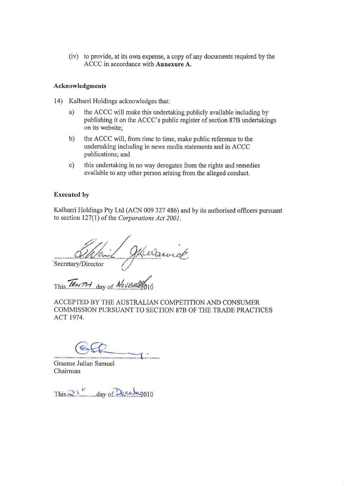(iv) to provide, at its own expense, a copy of any documents required by the ACCC in accordance with Annexure A.

#### Acknowledgments

- 14) Kalbarri Holdings acknowledges that:
	- the ACCC will make this undertaking publicly available including by publishing it on the ACCC's public register of section 878 undertakings on its website; a)
	- the ACCC will, from time to time, make public reference to the undertaking including in news meclia statements and in ACCC publications; and b)
	- this undertaking in no way derogates from the rights and remedies avaiiable to any other person arising from the alleged conduct. c)

#### Executed by

Kalbarri Holdings Pty Ltd (ACN 009 327 486) and by its authorised officers pursuant to section 127(1) of the Corporations Act 2001.

1 J Kudannick 'Secretary/Director

This.  $I \in \mathcal{N}$   $7$ - $\mathcal{N}$  day of  $\mathcal{N}$  by Em

ACCEPTED BY THE AUSTRALIAN COMPETITION AND CONSUMER COMMISSION PURSUANT TO SECTION 878 OF THE TRADE PRACTICES ACT 1974,

 $\overbrace{\hspace{2.5cm}}$ 

Graeme Julian Samuel Chairman

This  $25$  and  $\frac{1}{2010}$